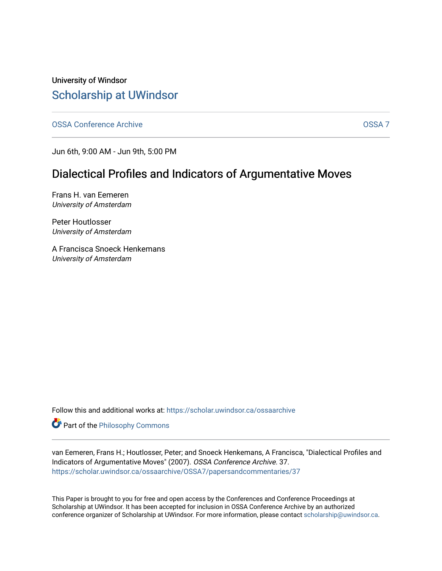University of Windsor [Scholarship at UWindsor](https://scholar.uwindsor.ca/) 

[OSSA Conference Archive](https://scholar.uwindsor.ca/ossaarchive) **Conference Archive** Constantine OSSA 7

Jun 6th, 9:00 AM - Jun 9th, 5:00 PM

# Dialectical Profiles and Indicators of Argumentative Moves

Frans H. van Eemeren University of Amsterdam

Peter Houtlosser University of Amsterdam

A Francisca Snoeck Henkemans University of Amsterdam

Follow this and additional works at: [https://scholar.uwindsor.ca/ossaarchive](https://scholar.uwindsor.ca/ossaarchive?utm_source=scholar.uwindsor.ca%2Fossaarchive%2FOSSA7%2Fpapersandcommentaries%2F37&utm_medium=PDF&utm_campaign=PDFCoverPages)

**Part of the Philosophy Commons** 

van Eemeren, Frans H.; Houtlosser, Peter; and Snoeck Henkemans, A Francisca, "Dialectical Profiles and Indicators of Argumentative Moves" (2007). OSSA Conference Archive. 37. [https://scholar.uwindsor.ca/ossaarchive/OSSA7/papersandcommentaries/37](https://scholar.uwindsor.ca/ossaarchive/OSSA7/papersandcommentaries/37?utm_source=scholar.uwindsor.ca%2Fossaarchive%2FOSSA7%2Fpapersandcommentaries%2F37&utm_medium=PDF&utm_campaign=PDFCoverPages)

This Paper is brought to you for free and open access by the Conferences and Conference Proceedings at Scholarship at UWindsor. It has been accepted for inclusion in OSSA Conference Archive by an authorized conference organizer of Scholarship at UWindsor. For more information, please contact [scholarship@uwindsor.ca.](mailto:scholarship@uwindsor.ca)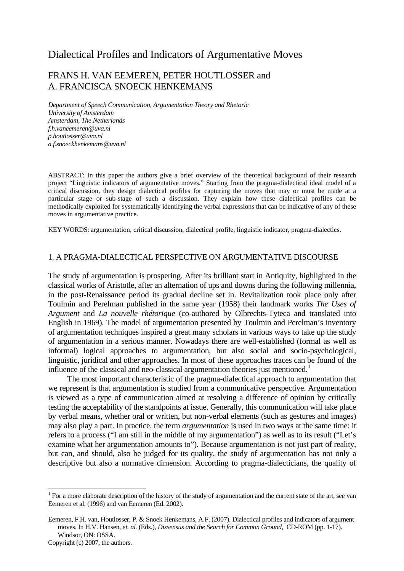# Dialectical Profiles and Indicators of Argumentative Moves

## FRANS H. VAN EEMEREN, PETER HOUTLOSSER and A. FRANCISCA SNOECK HENKEMANS

*Department of Speech Communication, Argumentation Theory and Rhetoric University of Amsterdam Amsterdam, The Netherlands f.h.vaneemeren@uva.nl p.houtlosser@uva.nl a.f.snoeckhenkemans@uva.nl* 

ABSTRACT: In this paper the authors give a brief overview of the theoretical background of their research project "Linguistic indicators of argumentative moves." Starting from the pragma-dialectical ideal model of a critical discussion, they design dialectical profiles for capturing the moves that may or must be made at a particular stage or sub-stage of such a discussion. They explain how these dialectical profiles can be methodically exploited for systematically identifying the verbal expressions that can be indicative of any of these moves in argumentative practice.

KEY WORDS: argumentation, critical discussion, dialectical profile, linguistic indicator, pragma-dialectics.

#### 1. A PRAGMA-DIALECTICAL PERSPECTIVE ON ARGUMENTATIVE DISCOURSE

The study of argumentation is prospering. After its brilliant start in Antiquity, highlighted in the classical works of Aristotle, after an alternation of ups and downs during the following millennia, in the post-Renaissance period its gradual decline set in. Revitalization took place only after Toulmin and Perelman published in the same year (1958) their landmark works *The Uses of Argument* and *La nouvelle rhétorique* (co-authored by Olbrechts-Tyteca and translated into English in 1969). The model of argumentation presented by Toulmin and Perelman's inventory of argumentation techniques inspired a great many scholars in various ways to take up the study of argumentation in a serious manner. Nowadays there are well-established (formal as well as informal) logical approaches to argumentation, but also social and socio-psychological, linguistic, juridical and other approaches. In most of these approaches traces can be found of the influence of the classical and neo-classical argumentation theories just mentioned.<sup>[1](#page-1-0)</sup>

 The most important characteristic of the pragma-dialectical approach to argumentation that we represent is that argumentation is studied from a communicative perspective. Argumentation is viewed as a type of communication aimed at resolving a difference of opinion by critically testing the acceptability of the standpoints at issue. Generally, this communication will take place by verbal means, whether oral or written, but non-verbal elements (such as gestures and images) may also play a part. In practice, the term *argumentation* is used in two ways at the same time: it refers to a process ("I am still in the middle of my argumentation") as well as to its result ("Let's examine what her argumentation amounts to"). Because argumentation is not just part of reality, but can, and should, also be judged for its quality, the study of argumentation has not only a descriptive but also a normative dimension. According to pragma-dialecticians, the quality of

<span id="page-1-0"></span> $1$  For a more elaborate description of the history of the study of argumentation and the current state of the art, see van Eemeren et al. (1996) and van Eemeren (Ed. 2002).

Eemeren, F.H. van, Houtlosser, P. & Snoek Henkemans, A.F. (2007). Dialectical profiles and indicators of argument moves. In H.V. Hansen, *et. al.* (Eds.), *Dissensus and the Search for Common Ground*, CD-ROM (pp. 1-17). Windsor, ON: OSSA.

Copyright (c) 2007, the authors.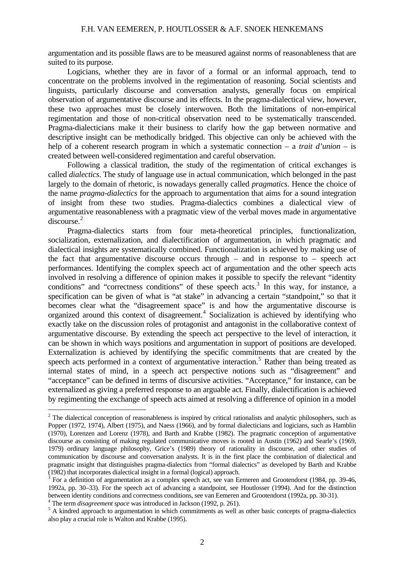argumentation and its possible flaws are to be measured against norms of reasonableness that are suited to its purpose.

 Logicians, whether they are in favor of a formal or an informal approach, tend to concentrate on the problems involved in the regimentation of reasoning. Social scientists and linguists, particularly discourse and conversation analysts, generally focus on empirical observation of argumentative discourse and its effects. In the pragma-dialectical view, however, these two approaches must be closely interwoven. Both the limitations of non-empirical regimentation and those of non-critical observation need to be systematically transcended. Pragma-dialecticians make it their business to clarify how the gap between normative and descriptive insight can be methodically bridged. This objective can only be achieved with the help of a coherent research program in which a systematic connection – a *trait d'union* – is created between well-considered regimentation and careful observation.

 Following a classical tradition, the study of the regimentation of critical exchanges is called *dialectics*. The study of language use in actual communication, which belonged in the past largely to the domain of rhetoric, is nowadays generally called *pragmatics*. Hence the choice of the name *pragma-dialectics* for the approach to argumentation that aims for a sound integration of insight from these two studies. Pragma-dialectics combines a dialectical view of argumentative reasonableness with a pragmatic view of the verbal moves made in argumentative discourse.<sup>[2](#page-2-0)</sup>

 Pragma-dialectics starts from four meta-theoretical principles, functionalization, socialization, externalization, and dialectification of argumentation, in which pragmatic and dialectical insights are systematically combined. Functionalization is achieved by making use of the fact that argumentative discourse occurs through – and in response to – speech act performances. Identifying the complex speech act of argumentation and the other speech acts involved in resolving a difference of opinion makes it possible to specify the relevant "identity conditions" and "correctness conditions" of these speech acts. $3$  In this way, for instance, a specification can be given of what is "at stake" in advancing a certain "standpoint," so that it becomes clear what the "disagreement space" is and how the argumentative discourse is organized around this context of disagreement.<sup>[4](#page-2-2)</sup> Socialization is achieved by identifying who exactly take on the discussion roles of protagonist and antagonist in the collaborative context of argumentative discourse. By extending the speech act perspective to the level of interaction, it can be shown in which ways positions and argumentation in support of positions are developed. Externalization is achieved by identifying the specific commitments that are created by the speech acts performed in a context of argumentative interaction.<sup>[5](#page-2-3)</sup> Rather than being treated as internal states of mind, in a speech act perspective notions such as "disagreement" and "acceptance" can be defined in terms of discursive activities. "Acceptance," for instance, can be externalized as giving a preferred response to an arguable act. Finally, dialectification is achieved by regimenting the exchange of speech acts aimed at resolving a difference of opinion in a model

<span id="page-2-0"></span> $2^2$  The dialectical conception of reasonableness is inspired by critical rationalists and analytic philosophers, such as Popper (1972, 1974), Albert (1975), and Naess (1966), and by formal dialecticians and logicians, such as Hamblin (1970), Lorenzen and Lorenz (1978), and Barth and Krabbe (1982). The pragmatic conception of argumentative discourse as consisting of making regulated communicative moves is rooted in Austin (1962) and Searle's (1969, 1979) ordinary language philosophy, Grice's (1989) theory of rationality in discourse, and other studies of communication by discourse and conversation analysts. It is in the first place the combination of dialectical and pragmatic insight that distinguishes pragma-dialectics from "formal dialectics" as developed by Barth and Krabbe (1982) that incorporates dialectical insight in a formal (logical) approach.

<span id="page-2-1"></span><sup>&</sup>lt;sup>3</sup> For a definition of argumentation as a complex speech act, see van Eemeren and Grootendorst (1984, pp. 39-46, 1992a, pp. 30–33). For the speech act of advancing a standpoint, see Houtlosser (1994). And for the distinction between identity conditions and correctness conditions, see van Eemeren and Grootendorst (1992a, pp. 30-31). 4

<span id="page-2-2"></span><sup>&</sup>lt;sup>4</sup> The term *disagreement space* was introduced in Jackson (1992, p. 261).

<span id="page-2-3"></span><sup>&</sup>lt;sup>5</sup> A kindred approach to argumentation in which commitments as well as other basic concepts of pragma-dialectics also play a crucial role is Walton and Krabbe (1995).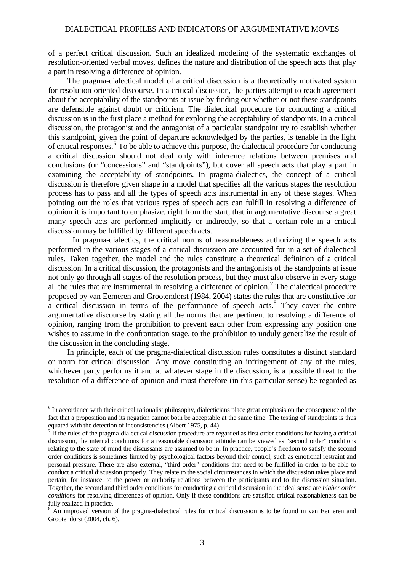of a perfect critical discussion. Such an idealized modeling of the systematic exchanges of resolution-oriented verbal moves, defines the nature and distribution of the speech acts that play a part in resolving a difference of opinion.

 The pragma-dialectical model of a critical discussion is a theoretically motivated system for resolution-oriented discourse. In a critical discussion, the parties attempt to reach agreement about the acceptability of the standpoints at issue by finding out whether or not these standpoints are defensible against doubt or criticism. The dialectical procedure for conducting a critical discussion is in the first place a method for exploring the acceptability of standpoints. In a critical discussion, the protagonist and the antagonist of a particular standpoint try to establish whether this standpoint, given the point of departure acknowledged by the parties, is tenable in the light of critical responses.<sup>[6](#page-3-0)</sup> To be able to achieve this purpose, the dialectical procedure for conducting a critical discussion should not deal only with inference relations between premises and conclusions (or "concessions" and "standpoints"), but cover all speech acts that play a part in examining the acceptability of standpoints. In pragma-dialectics, the concept of a critical discussion is therefore given shape in a model that specifies all the various stages the resolution process has to pass and all the types of speech acts instrumental in any of these stages. When pointing out the roles that various types of speech acts can fulfill in resolving a difference of opinion it is important to emphasize, right from the start, that in argumentative discourse a great many speech acts are performed implicitly or indirectly, so that a certain role in a critical discussion may be fulfilled by different speech acts.

 In pragma-dialectics, the critical norms of reasonableness authorizing the speech acts performed in the various stages of a critical discussion are accounted for in a set of dialectical rules. Taken together, the model and the rules constitute a theoretical definition of a critical discussion. In a critical discussion, the protagonists and the antagonists of the standpoints at issue not only go through all stages of the resolution process, but they must also observe in every stage all the rules that are instrumental in resolving a difference of opinion.<sup>[7](#page-3-1)</sup> The dialectical procedure proposed by van Eemeren and Grootendorst (1984, 2004) states the rules that are constitutive for a critical discussion in terms of the performance of speech acts.<sup>[8](#page-3-2)</sup> They cover the entire argumentative discourse by stating all the norms that are pertinent to resolving a difference of opinion, ranging from the prohibition to prevent each other from expressing any position one wishes to assume in the confrontation stage, to the prohibition to unduly generalize the result of the discussion in the concluding stage.

 In principle, each of the pragma-dialectical discussion rules constitutes a distinct standard or norm for critical discussion. Any move constituting an infringement of any of the rules, whichever party performs it and at whatever stage in the discussion, is a possible threat to the resolution of a difference of opinion and must therefore (in this particular sense) be regarded as

<span id="page-3-0"></span><sup>&</sup>lt;sup>6</sup> In accordance with their critical rationalist philosophy, dialecticians place great emphasis on the consequence of the fact that a proposition and its negation cannot both be acceptable at the same time. The testing of standpoints is thus equated with the detection of inconsistencies (Albert 1975, p. 44).

<span id="page-3-1"></span> $\frac{7}{1}$  If the rules of the pragma-dialectical discussion procedure are regarded as first order conditions for having a critical discussion, the internal conditions for a reasonable discussion attitude can be viewed as "second order" conditions relating to the state of mind the discussants are assumed to be in. In practice, people's freedom to satisfy the second order conditions is sometimes limited by psychological factors beyond their control, such as emotional restraint and personal pressure. There are also external, "third order" conditions that need to be fulfilled in order to be able to conduct a critical discussion properly. They relate to the social circumstances in which the discussion takes place and pertain, for instance, to the power or authority relations between the participants and to the discussion situation. Together, the second and third order conditions for conducting a critical discussion in the ideal sense are *higher order conditions* for resolving differences of opinion. Only if these conditions are satisfied critical reasonableness can be fully realized in practice.

<span id="page-3-2"></span><sup>&</sup>lt;sup>8</sup> An improved version of the pragma-dialectical rules for critical discussion is to be found in van Eemeren and Grootendorst (2004, ch. 6).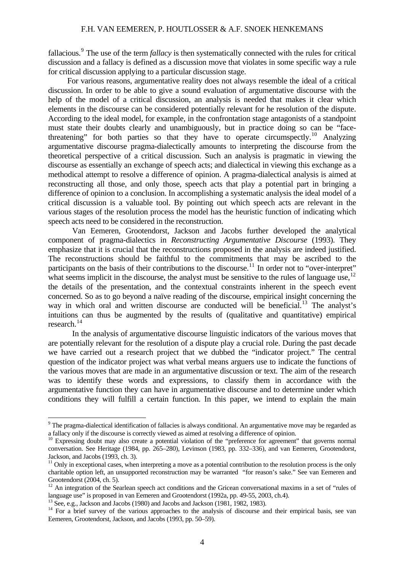fallacious.<sup>[9](#page-4-0)</sup> The use of the term *fallacy* is then systematically connected with the rules for critical discussion and a fallacy is defined as a discussion move that violates in some specific way a rule for critical discussion applying to a particular discussion stage.

 For various reasons, argumentative reality does not always resemble the ideal of a critical discussion. In order to be able to give a sound evaluation of argumentative discourse with the help of the model of a critical discussion, an analysis is needed that makes it clear which elements in the discourse can be considered potentially relevant for he resolution of the dispute. According to the ideal model, for example, in the confrontation stage antagonists of a standpoint must state their doubts clearly and unambiguously, but in practice doing so can be "face-threatening" for both parties so that they have to operate circumspectly.<sup>[10](#page-4-1)</sup> Analyzing argumentative discourse pragma-dialectically amounts to interpreting the discourse from the theoretical perspective of a critical discussion. Such an analysis is pragmatic in viewing the discourse as essentially an exchange of speech acts; and dialectical in viewing this exchange as a methodical attempt to resolve a difference of opinion. A pragma-dialectical analysis is aimed at reconstructing all those, and only those, speech acts that play a potential part in bringing a difference of opinion to a conclusion. In accomplishing a systematic analysis the ideal model of a critical discussion is a valuable tool. By pointing out which speech acts are relevant in the various stages of the resolution process the model has the heuristic function of indicating which speech acts need to be considered in the reconstruction.

 Van Eemeren, Grootendorst, Jackson and Jacobs further developed the analytical component of pragma-dialectics in *Reconstructing Argumentative Discourse* (1993). They emphasize that it is crucial that the reconstructions proposed in the analysis are indeed justified. The reconstructions should be faithful to the commitments that may be ascribed to the participants on the basis of their contributions to the discourse.<sup>[11](#page-4-2)</sup> In order not to "over-interpret" what seems implicit in the discourse, the analyst must be sensitive to the rules of language use,  $12$ the details of the presentation, and the contextual constraints inherent in the speech event concerned. So as to go beyond a naïve reading of the discourse, empirical insight concerning the way in which oral and written discourse are conducted will be beneficial.<sup>[13](#page-4-4)</sup> The analyst's intuitions can thus be augmented by the results of (qualitative and quantitative) empirical research.[14](#page-4-5)

In the analysis of argumentative discourse linguistic indicators of the various moves that are potentially relevant for the resolution of a dispute play a crucial role. During the past decade we have carried out a research project that we dubbed the "indicator project." The central question of the indicator project was what verbal means arguers use to indicate the functions of the various moves that are made in an argumentative discussion or text. The aim of the research was to identify these words and expressions, to classify them in accordance with the argumentative function they can have in argumentative discourse and to determine under which conditions they will fulfill a certain function. In this paper, we intend to explain the main

<span id="page-4-0"></span> $9$  The pragma-dialectical identification of fallacies is always conditional. An argumentative move may be regarded as a fallacy only if the discourse is correctly viewed as aimed at resolving a difference of opinion.

<span id="page-4-1"></span> $10$  Expressing doubt may also create a potential violation of the "preference for agreement" that governs normal conversation. See Heritage (1984, pp. 265–280), Levinson (1983, pp. 332–336), and van Eemeren, Grootendorst, Jackson, and Jacobs (1993, ch. 3).

<span id="page-4-2"></span> $11$  Only in exceptional cases, when interpreting a move as a potential contribution to the resolution process is the only charitable option left, an unsupported reconstruction may be warranted "for reason's sake." See van Eemeren and Grootendorst (2004, ch. 5).

<span id="page-4-3"></span><sup>&</sup>lt;sup>12</sup> An integration of the Searlean speech act conditions and the Gricean conversational maxims in a set of "rules of language use" is proposed in van Eemeren and Grootendorst (1992a, pp. 49-55, 2003, ch.4).

<span id="page-4-5"></span><span id="page-4-4"></span><sup>&</sup>lt;sup>13</sup> See, e.g., Jackson and Jacobs (1980) and Jacobs and Jackson (1981, 1982, 1983).<br><sup>14</sup> For a brief survey of the various approaches to the analysis of discourse and their empirical basis, see van Eemeren, Grootendorst, Jackson, and Jacobs (1993, pp. 50–59).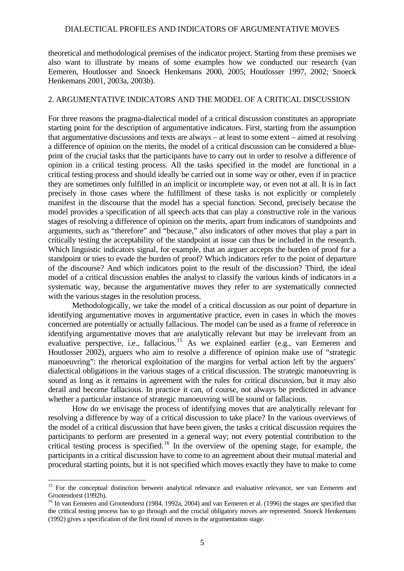theoretical and methodological premises of the indicator project. Starting from these premises we also want to illustrate by means of some examples how we conducted our research (van Eemeren, Houtlosser and Snoeck Henkemans 2000, 2005; Houtlosser 1997, 2002; Snoeck Henkemans 2001, 2003a, 2003b).

## 2. ARGUMENTATIVE INDICATORS AND THE MODEL OF A CRITICAL DISCUSSION

For three reasons the pragma-dialectical model of a critical discussion constitutes an appropriate starting point for the description of argumentative indicators. First, starting from the assumption that argumentative discussions and texts are always – at least to some extent – aimed at resolving a difference of opinion on the merits, the model of a critical discussion can be considered a blueprint of the crucial tasks that the participants have to carry out in order to resolve a difference of opinion in a critical testing process. All the tasks specified in the model are functional in a critical testing process and should ideally be carried out in some way or other, even if in practice they are sometimes only fulfilled in an implicit or incomplete way, or even not at all. It is in fact precisely in those cases where the fulfillment of these tasks is not explicitly or completely manifest in the discourse that the model has a special function. Second, precisely because the model provides a specification of all speech acts that can play a constructive role in the various stages of resolving a difference of opinion on the merits, apart from indicators of standpoints and arguments, such as "therefore" and "because," also indicators of other moves that play a part in critically testing the acceptability of the standpoint at issue can thus be included in the research. Which linguistic indicators signal, for example, that an arguer accepts the burden of proof for a standpoint or tries to evade the burden of proof? Which indicators refer to the point of departure of the discourse? And which indicators point to the result of the discussion? Third, the ideal model of a critical discussion enables the analyst to classify the various kinds of indicators in a systematic way, because the argumentative moves they refer to are systematically connected with the various stages in the resolution process.

Methodologically, we take the model of a critical discussion as our point of departure in identifying argumentative moves in argumentative practice, even in cases in which the moves concerned are potentially or actually fallacious. The model can be used as a frame of reference in identifying argumentative moves that are analytically relevant but may be irrelevant from an evaluative perspective, i.e., fallacious.<sup>[15](#page-5-0)</sup> As we explained earlier (e.g., van Eemeren and Houtlosser 2002), arguers who aim to resolve a difference of opinion make use of "strategic manoeuvring": the rhetorical exploitation of the margins for verbal action left by the arguers' dialectical obligations in the various stages of a critical discussion. The strategic manoeuvring is sound as long as it remains in agreement with the rules for critical discussion, but it may also derail and become fallacious. In practice it can, of course, not always be predicted in advance whether a particular instance of strategic manoeuvring will be sound or fallacious.

How do we envisage the process of identifying moves that are analytically relevant for resolving a difference by way of a critical discussion to take place? In the various overviews of the model of a critical discussion that have been given, the tasks a critical discussion requires the participants to perform are presented in a general way; not every potential contribution to the critical testing process is specified.<sup>[16](#page-5-1)</sup> In the overview of the opening stage, for example, the participants in a critical discussion have to come to an agreement about their mutual material and procedural starting points, but it is not specified which moves exactly they have to make to come

<span id="page-5-0"></span><sup>&</sup>lt;sup>15</sup> For the conceptual distinction between analytical relevance and evaluative relevance, see van Eemeren and Grootendorst (1992b).

<span id="page-5-1"></span><sup>&</sup>lt;sup>16</sup> In van Eemeren and Grootendorst (1984, 1992a, 2004) and van Eemeren et al. (1996) the stages are specified that the critical testing process has to go through and the crucial obligatory moves are represented. Snoeck Henkemans (1992) gives a specification of the first round of moves in the argumentation stage.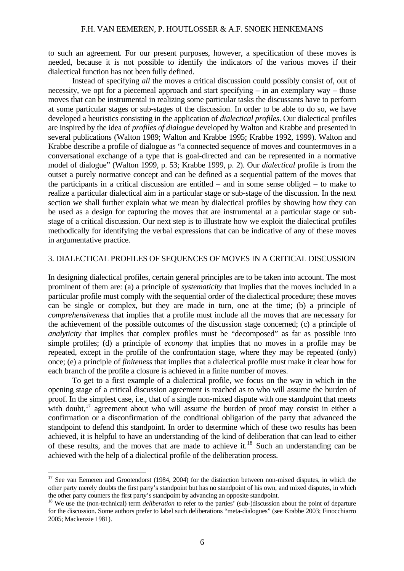to such an agreement. For our present purposes, however, a specification of these moves is needed, because it is not possible to identify the indicators of the various moves if their dialectical function has not been fully defined.

 Instead of specifying *all* the moves a critical discussion could possibly consist of, out of necessity, we opt for a piecemeal approach and start specifying – in an exemplary way – those moves that can be instrumental in realizing some particular tasks the discussants have to perform at some particular stages or sub-stages of the discussion. In order to be able to do so, we have developed a heuristics consisting in the application of *dialectical profiles*. Our dialectical profiles are inspired by the idea of *profiles of dialogue* developed by Walton and Krabbe and presented in several publications (Walton 1989; Walton and Krabbe 1995; Krabbe 1992, 1999). Walton and Krabbe describe a profile of dialogue as "a connected sequence of moves and countermoves in a conversational exchange of a type that is goal-directed and can be represented in a normative model of dialogue" (Walton 1999, p. 53; Krabbe 1999, p. 2). Our *dialectical* profile is from the outset a purely normative concept and can be defined as a sequential pattern of the moves that the participants in a critical discussion are entitled – and in some sense obliged – to make to realize a particular dialectical aim in a particular stage or sub-stage of the discussion. In the next section we shall further explain what we mean by dialectical profiles by showing how they can be used as a design for capturing the moves that are instrumental at a particular stage or substage of a critical discussion. Our next step is to illustrate how we exploit the dialectical profiles methodically for identifying the verbal expressions that can be indicative of any of these moves in argumentative practice.

## 3. DIALECTICAL PROFILES OF SEQUENCES OF MOVES IN A CRITICAL DISCUSSION

In designing dialectical profiles, certain general principles are to be taken into account. The most prominent of them are: (a) a principle of *systematicity* that implies that the moves included in a particular profile must comply with the sequential order of the dialectical procedure; these moves can be single or complex, but they are made in turn, one at the time; (b) a principle of *comprehensiveness* that implies that a profile must include all the moves that are necessary for the achievement of the possible outcomes of the discussion stage concerned; (c) a principle of *analyticity* that implies that complex profiles must be "decomposed" as far as possible into simple profiles; (d) a principle of *economy* that implies that no moves in a profile may be repeated, except in the profile of the confrontation stage, where they may be repeated (only) once; (e) a principle of *finiteness* that implies that a dialectical profile must make it clear how for each branch of the profile a closure is achieved in a finite number of moves.

To get to a first example of a dialectical profile, we focus on the way in which in the opening stage of a critical discussion agreement is reached as to who will assume the burden of proof. In the simplest case, i.e., that of a single non-mixed dispute with one standpoint that meets with doubt,<sup>17</sup> agreement about who will assume the burden of proof may consist in either a confirmation or a disconfirmation of the conditional obligation of the party that advanced the standpoint to defend this standpoint. In order to determine which of these two results has been achieved, it is helpful to have an understanding of the kind of deliberation that can lead to either of these results, and the moves that are made to achieve it.<sup>[18](#page-6-1)</sup> Such an understanding can be achieved with the help of a dialectical profile of the deliberation process.

<span id="page-6-0"></span><sup>&</sup>lt;sup>17</sup> See van Eemeren and Grootendorst (1984, 2004) for the distinction between non-mixed disputes, in which the other party merely doubts the first party's standpoint but has no standpoint of his own, and mixed disputes, in which the other party counters the first party's standpoint by advancing an opposite standpoint.

<span id="page-6-1"></span><sup>&</sup>lt;sup>18</sup> We use the (non-technical) term *deliberation* to refer to the parties' (sub-)discussion about the point of departure for the discussion. Some authors prefer to label such deliberations "meta-dialogues" (see Krabbe 2003; Finocchiarro 2005; Mackenzie 1981).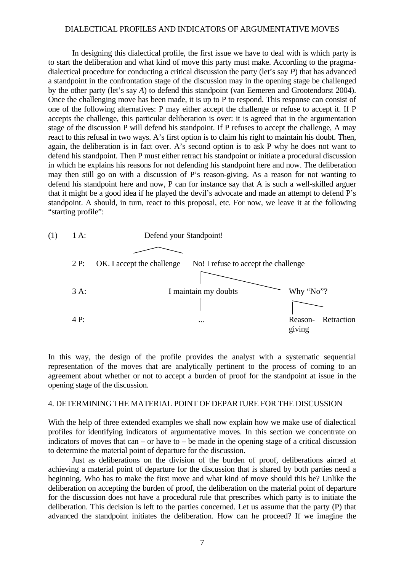In designing this dialectical profile, the first issue we have to deal with is which party is to start the deliberation and what kind of move this party must make. According to the pragmadialectical procedure for conducting a critical discussion the party (let's say *P*) that has advanced a standpoint in the confrontation stage of the discussion may in the opening stage be challenged by the other party (let's say *A*) to defend this standpoint (van Eemeren and Grootendorst 2004). Once the challenging move has been made, it is up to P to respond. This response can consist of one of the following alternatives: P may either accept the challenge or refuse to accept it. If P accepts the challenge, this particular deliberation is over: it is agreed that in the argumentation stage of the discussion P will defend his standpoint. If P refuses to accept the challenge, A may react to this refusal in two ways. A's first option is to claim his right to maintain his doubt. Then, again, the deliberation is in fact over. A's second option is to ask P why he does not want to defend his standpoint. Then P must either retract his standpoint or initiate a procedural discussion in which he explains his reasons for not defending his standpoint here and now. The deliberation may then still go on with a discussion of P's reason-giving. As a reason for not wanting to defend his standpoint here and now, P can for instance say that A is such a well-skilled arguer that it might be a good idea if he played the devil's advocate and made an attempt to defend P's standpoint. A should, in turn, react to this proposal, etc. For now, we leave it at the following "starting profile":



In this way, the design of the profile provides the analyst with a systematic sequential representation of the moves that are analytically pertinent to the process of coming to an agreement about whether or not to accept a burden of proof for the standpoint at issue in the opening stage of the discussion.

#### 4. DETERMINING THE MATERIAL POINT OF DEPARTURE FOR THE DISCUSSION

With the help of three extended examples we shall now explain how we make use of dialectical profiles for identifying indicators of argumentative moves. In this section we concentrate on indicators of moves that can – or have to – be made in the opening stage of a critical discussion to determine the material point of departure for the discussion.

Just as deliberations on the division of the burden of proof, deliberations aimed at achieving a material point of departure for the discussion that is shared by both parties need a beginning. Who has to make the first move and what kind of move should this be? Unlike the deliberation on accepting the burden of proof, the deliberation on the material point of departure for the discussion does not have a procedural rule that prescribes which party is to initiate the deliberation. This decision is left to the parties concerned. Let us assume that the party (P) that advanced the standpoint initiates the deliberation. How can he proceed? If we imagine the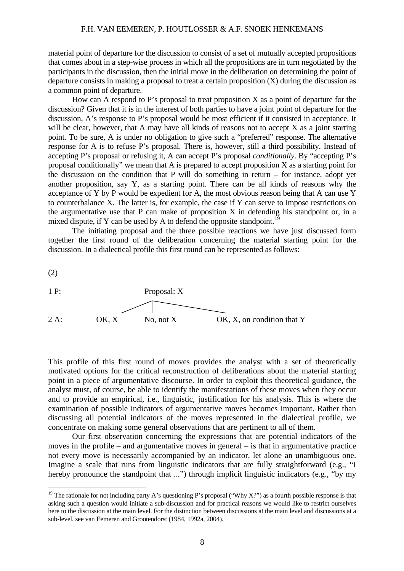material point of departure for the discussion to consist of a set of mutually accepted propositions that comes about in a step-wise process in which all the propositions are in turn negotiated by the participants in the discussion, then the initial move in the deliberation on determining the point of departure consists in making a proposal to treat a certain proposition  $(X)$  during the discussion as a common point of departure.

How can A respond to P's proposal to treat proposition  $X$  as a point of departure for the discussion? Given that it is in the interest of both parties to have a joint point of departure for the discussion, A's response to P's proposal would be most efficient if it consisted in acceptance. It will be clear, however, that A may have all kinds of reasons not to accept X as a joint starting point. To be sure, A is under no obligation to give such a "preferred" response. The alternative response for A is to refuse P's proposal. There is, however, still a third possibility. Instead of accepting P's proposal or refusing it, A can accept P's proposal *conditionally*. By "accepting P's proposal conditionally" we mean that A is prepared to accept proposition X as a starting point for the discussion on the condition that P will do something in return – for instance, adopt yet another proposition, say Y, as a starting point. There can be all kinds of reasons why the acceptance of Y by P would be expedient for A, the most obvious reason being that A can use Y to counterbalance X. The latter is, for example, the case if Y can serve to impose restrictions on the argumentative use that P can make of proposition X in defending his standpoint or, in a mixed dispute, if Y can be used by A to defend the opposite standpoint.<sup>1</sup>

The initiating proposal and the three possible reactions we have just discussed form together the first round of the deliberation concerning the material starting point for the discussion. In a dialectical profile this first round can be represented as follows:

(2)

 $\overline{a}$ 



This profile of this first round of moves provides the analyst with a set of theoretically motivated options for the critical reconstruction of deliberations about the material starting point in a piece of argumentative discourse. In order to exploit this theoretical guidance, the analyst must, of course, be able to identify the manifestations of these moves when they occur and to provide an empirical, i.e., linguistic, justification for his analysis. This is where the examination of possible indicators of argumentative moves becomes important. Rather than discussing all potential indicators of the moves represented in the dialectical profile, we concentrate on making some general observations that are pertinent to all of them.

Our first observation concerning the expressions that are potential indicators of the moves in the profile – and argumentative moves in general – is that in argumentative practice not every move is necessarily accompanied by an indicator, let alone an unambiguous one. Imagine a scale that runs from linguistic indicators that are fully straightforward (e.g., "I hereby pronounce the standpoint that ...") through implicit linguistic indicators (e.g., "by my

<span id="page-8-0"></span><sup>&</sup>lt;sup>19</sup> The rationale for not including party A's questioning P's proposal ("Why X?") as a fourth possible response is that asking such a question would initiate a sub-discussion and for practical reasons we would like to restrict ourselves here to the discussion at the main level. For the distinction between discussions at the main level and discussions at a sub-level, see van Eemeren and Grootendorst (1984, 1992a, 2004).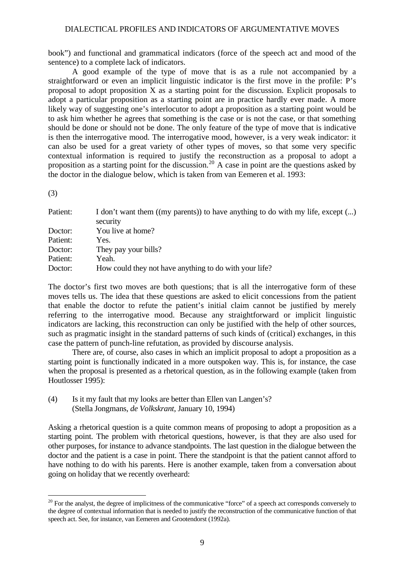book") and functional and grammatical indicators (force of the speech act and mood of the sentence) to a complete lack of indicators.

A good example of the type of move that is as a rule not accompanied by a straightforward or even an implicit linguistic indicator is the first move in the profile: P's proposal to adopt proposition X as a starting point for the discussion. Explicit proposals to adopt a particular proposition as a starting point are in practice hardly ever made. A more likely way of suggesting one's interlocutor to adopt a proposition as a starting point would be to ask him whether he agrees that something is the case or is not the case, or that something should be done or should not be done. The only feature of the type of move that is indicative is then the interrogative mood. The interrogative mood, however, is a very weak indicator: it can also be used for a great variety of other types of moves, so that some very specific contextual information is required to justify the reconstruction as a proposal to adopt a proposition as a starting point for the discussion.<sup>[20](#page-9-0)</sup> A case in point are the questions asked by the doctor in the dialogue below, which is taken from van Eemeren et al. 1993:

(3)

 $\ddot{\phantom{a}}$ 

| Patient: | I don't want them $((my parents))$ to have anything to do with my life, except $()$<br>security |
|----------|-------------------------------------------------------------------------------------------------|
| Doctor:  | You live at home?                                                                               |
| Patient: | Yes.                                                                                            |
| Doctor:  | They pay your bills?                                                                            |
| Patient: | Yeah.                                                                                           |
| Doctor:  | How could they not have anything to do with your life?                                          |

The doctor's first two moves are both questions; that is all the interrogative form of these moves tells us. The idea that these questions are asked to elicit concessions from the patient that enable the doctor to refute the patient's initial claim cannot be justified by merely referring to the interrogative mood. Because any straightforward or implicit linguistic indicators are lacking, this reconstruction can only be justified with the help of other sources, such as pragmatic insight in the standard patterns of such kinds of (critical) exchanges, in this case the pattern of punch-line refutation, as provided by discourse analysis.

There are, of course, also cases in which an implicit proposal to adopt a proposition as a starting point is functionally indicated in a more outspoken way. This is, for instance, the case when the proposal is presented as a rhetorical question, as in the following example (taken from Houtlosser 1995):

(4) Is it my fault that my looks are better than Ellen van Langen's? (Stella Jongmans, *de Volkskrant*, January 10, 1994)

Asking a rhetorical question is a quite common means of proposing to adopt a proposition as a starting point. The problem with rhetorical questions, however, is that they are also used for other purposes, for instance to advance standpoints. The last question in the dialogue between the doctor and the patient is a case in point. There the standpoint is that the patient cannot afford to have nothing to do with his parents. Here is another example, taken from a conversation about going on holiday that we recently overheard:

<span id="page-9-0"></span> $20$  For the analyst, the degree of implicitness of the communicative "force" of a speech act corresponds conversely to the degree of contextual information that is needed to justify the reconstruction of the communicative function of that speech act. See, for instance, van Eemeren and Grootendorst (1992a).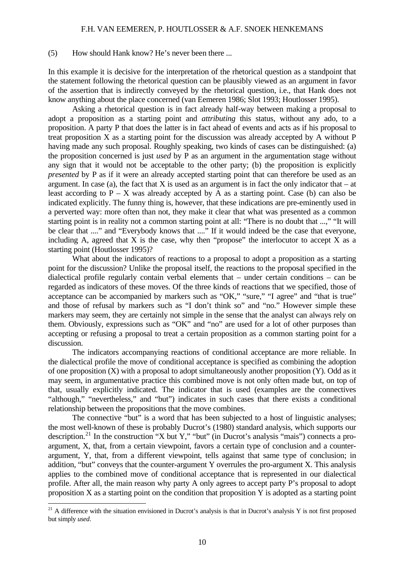#### F.H. VAN EEMEREN, P. HOUTLOSSER & A.F. SNOEK HENKEMANS

#### (5) How should Hank know? He's never been there ...

In this example it is decisive for the interpretation of the rhetorical question as a standpoint that the statement following the rhetorical question can be plausibly viewed as an argument in favor of the assertion that is indirectly conveyed by the rhetorical question, i.e., that Hank does not know anything about the place concerned (van Eemeren 1986; Slot 1993; Houtlosser 1995).

 Asking a rhetorical question is in fact already half-way between making a proposal to adopt a proposition as a starting point and *attributing* this status, without any ado, to a proposition. A party P that does the latter is in fact ahead of events and acts as if his proposal to treat proposition X as a starting point for the discussion was already accepted by A without P having made any such proposal. Roughly speaking, two kinds of cases can be distinguished: (a) the proposition concerned is just *used* by P as an argument in the argumentation stage without any sign that it would not be acceptable to the other party; (b) the proposition is explicitly *presented* by P as if it were an already accepted starting point that can therefore be used as an argument. In case (a), the fact that X is used as an argument is in fact the only indicator that  $-$  at least according to  $P - X$  was already accepted by A as a starting point. Case (b) can also be indicated explicitly. The funny thing is, however, that these indications are pre-eminently used in a perverted way: more often than not, they make it clear that what was presented as a common starting point is in reality not a common starting point at all: "There is no doubt that ...," "It will be clear that ...." and "Everybody knows that ...." If it would indeed be the case that everyone, including A, agreed that X is the case, why then "propose" the interlocutor to accept X as a starting point (Houtlosser 1995)?

What about the indicators of reactions to a proposal to adopt a proposition as a starting point for the discussion? Unlike the proposal itself, the reactions to the proposal specified in the dialectical profile regularly contain verbal elements that – under certain conditions – can be regarded as indicators of these moves. Of the three kinds of reactions that we specified, those of acceptance can be accompanied by markers such as "OK," "sure," "I agree" and "that is true" and those of refusal by markers such as "I don't think so" and "no." However simple these markers may seem, they are certainly not simple in the sense that the analyst can always rely on them. Obviously, expressions such as "OK" and "no" are used for a lot of other purposes than accepting or refusing a proposal to treat a certain proposition as a common starting point for a discussion.

The indicators accompanying reactions of conditional acceptance are more reliable. In the dialectical profile the move of conditional acceptance is specified as combining the adoption of one proposition (X) with a proposal to adopt simultaneously another proposition (Y). Odd as it may seem, in argumentative practice this combined move is not only often made but, on top of that, usually explicitly indicated. The indicator that is used (examples are the connectives "although," "nevertheless," and "but") indicates in such cases that there exists a conditional relationship between the propositions that the move combines.

 The connective "but" is a word that has been subjected to a host of linguistic analyses; the most well-known of these is probably Ducrot's (1980) standard analysis, which supports our description.<sup>[21](#page-10-0)</sup> In the construction "X but Y," "but" (in Ducrot's analysis "mais") connects a proargument, X, that, from a certain viewpoint, favors a certain type of conclusion and a counterargument, Y, that, from a different viewpoint, tells against that same type of conclusion; in addition, "but" conveys that the counter-argument Y overrules the pro-argument X. This analysis applies to the combined move of conditional acceptance that is represented in our dialectical profile. After all, the main reason why party A only agrees to accept party P's proposal to adopt proposition X as a starting point on the condition that proposition Y is adopted as a starting point

<span id="page-10-0"></span> $21$  A difference with the situation envisioned in Ducrot's analysis is that in Ducrot's analysis Y is not first proposed but simply *used*.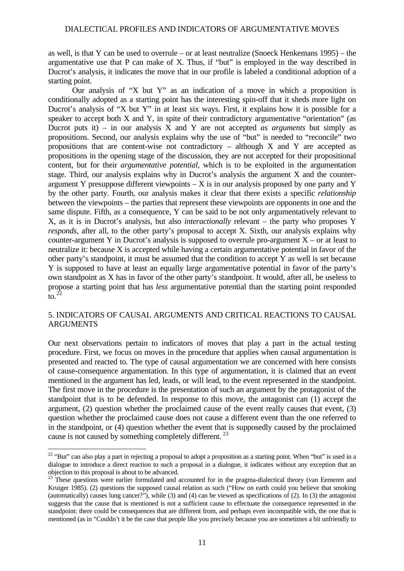as well, is that Y can be used to overrule – or at least neutralize (Snoeck Henkemans 1995) – the argumentative use that P can make of X. Thus, if "but" is employed in the way described in Ducrot's analysis, it indicates the move that in our profile is labeled a conditional adoption of a starting point.

Our analysis of "X but Y" as an indication of a move in which a proposition is conditionally adopted as a starting point has the interesting spin-off that it sheds more light on Ducrot's analysis of "X but Y" in at least six ways. First, it explains how it is possible for a speaker to accept both X and Y, in spite of their contradictory argumentative "orientation" (as Ducrot puts it) – in our analysis X and Y are not accepted *as arguments* but simply as propositions. Second, our analysis explains why the use of "but" is needed to "reconcile" two propositions that are content-wise not contradictory – although  $X$  and  $Y$  are accepted as propositions in the opening stage of the discussion, they are not accepted for their propositional content, but for their *argumentative potential*, which is to be exploited in the argumentation stage. Third, our analysis explains why in Ducrot's analysis the argument X and the counterargument Y presuppose different viewpoints  $- X$  is in our analysis proposed by one party and Y by the other party. Fourth, our analysis makes it clear that there exists a specific *relationship* between the viewpoints – the parties that represent these viewpoints are opponents in one and the same dispute. Fifth, as a consequence, Y can be said to be not only argumentatively relevant to X, as it is in Ducrot's analysis, but also *interactionally* relevant – the party who proposes Y *responds*, after all, to the other party's proposal to accept X. Sixth, our analysis explains why counter-argument Y in Ducrot's analysis is supposed to overrule pro-argument  $X -$  or at least to neutralize it: because X is accepted while having a certain argumentative potential in favor of the other party's standpoint, it must be assumed that the condition to accept Y as well is set because Y is supposed to have at least an equally large argumentative potential in favor of the party's own standpoint as X has in favor of the other party's standpoint. It would, after all, be useless to propose a starting point that has *less* argumentative potential than the starting point responded  $\frac{1}{10}$ .  $^{22}$  $^{22}$  $^{22}$ 

## 5. INDICATORS OF CAUSAL ARGUMENTS AND CRITICAL REACTIONS TO CAUSAL ARGUMENTS

Our next observations pertain to indicators of moves that play a part in the actual testing procedure. First, we focus on moves in the procedure that applies when causal argumentation is presented and reacted to. The type of causal argumentation we are concerned with here consists of cause-consequence argumentation. In this type of argumentation, it is claimed that an event mentioned in the argument has led, leads, or will lead, to the event represented in the standpoint. The first move in the procedure is the presentation of such an argument by the protagonist of the standpoint that is to be defended. In response to this move, the antagonist can (1) accept the argument, (2) question whether the proclaimed cause of the event really causes that event, (3) question whether the proclaimed cause does not cause a different event than the one referred to in the standpoint, or (4) question whether the event that is supposedly caused by the proclaimed cause is not caused by something completely different.<sup>[23](#page-11-1)</sup>

<span id="page-11-0"></span> $22$  "But" can also play a part in rejecting a proposal to adopt a proposition as a starting point. When "but" is used in a dialogue to introduce a direct reaction to such a proposal in a dialogue, it indicates without any exception that an objection to this proposal is about to be advanced.

<span id="page-11-1"></span><sup>&</sup>lt;sup>23</sup> These questions were earlier formulated and accounted for in the pragma-dialectical theory (van Eemeren and Kruiger 1985). (2) questions the supposed causal relation as such ("How on earth could you believe that smoking (automatically) causes lung cancer?"), while (3) and (4) can be viewed as specifications of (2). In (3) the antagonist suggests that the cause that is mentioned is not a sufficient cause to effectuate the consequence represented in the standpoint: there could be consequences that are different from, and perhaps even incompatible with, the one that is mentioned (as in "Couldn't it be the case that people like you precisely because you are sometimes a bit unfriendly to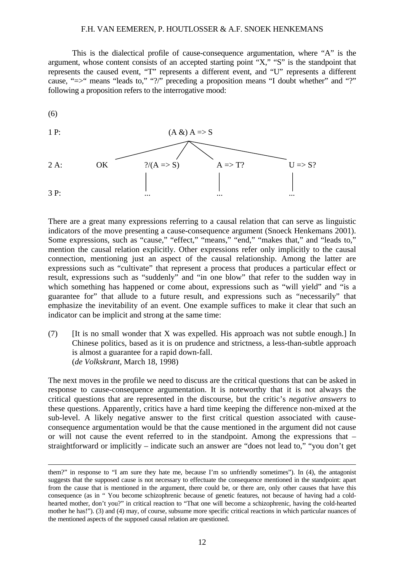#### F.H. VAN EEMEREN, P. HOUTLOSSER & A.F. SNOEK HENKEMANS

This is the dialectical profile of cause-consequence argumentation, where "A" is the argument, whose content consists of an accepted starting point "X," "S" is the standpoint that represents the caused event, "T" represents a different event, and "U" represents a different cause, "=>" means "leads to," "?/" preceding a proposition means "I doubt whether" and "?" following a proposition refers to the interrogative mood:

(6)

 $\overline{a}$ 



There are a great many expressions referring to a causal relation that can serve as linguistic indicators of the move presenting a cause-consequence argument (Snoeck Henkemans 2001). Some expressions, such as "cause," "effect," "means," "end," "makes that," and "leads to," mention the causal relation explicitly. Other expressions refer only implicitly to the causal connection, mentioning just an aspect of the causal relationship. Among the latter are expressions such as "cultivate" that represent a process that produces a particular effect or result, expressions such as "suddenly" and "in one blow" that refer to the sudden way in which something has happened or come about, expressions such as "will yield" and "is a guarantee for" that allude to a future result, and expressions such as "necessarily" that emphasize the inevitability of an event. One example suffices to make it clear that such an indicator can be implicit and strong at the same time:

(7) [It is no small wonder that X was expelled. His approach was not subtle enough.] In Chinese politics, based as it is on prudence and strictness, a less-than-subtle approach is almost a guarantee for a rapid down-fall. (*de Volkskrant*, March 18, 1998)

The next moves in the profile we need to discuss are the critical questions that can be asked in response to cause-consequence argumentation. It is noteworthy that it is not always the critical questions that are represented in the discourse, but the critic's *negative answers* to these questions. Apparently, critics have a hard time keeping the difference non-mixed at the sub-level. A likely negative answer to the first critical question associated with causeconsequence argumentation would be that the cause mentioned in the argument did not cause or will not cause the event referred to in the standpoint. Among the expressions that – straightforward or implicitly – indicate such an answer are "does not lead to," "you don't get

them?" in response to "I am sure they hate me, because I'm so unfriendly sometimes"). In (4), the antagonist suggests that the supposed cause is not necessary to effectuate the consequence mentioned in the standpoint: apart from the cause that is mentioned in the argument, there could be, or there are, only other causes that have this consequence (as in " You become schizophrenic because of genetic features, not because of having had a coldhearted mother, don't you?" in critical reaction to "That one will become a schizophrenic, having the cold-hearted mother he has!"). (3) and (4) may, of course, subsume more specific critical reactions in which particular nuances of the mentioned aspects of the supposed causal relation are questioned.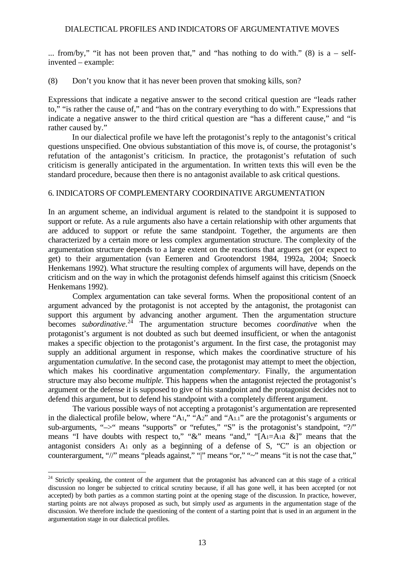... from/by," "it has not been proven that," and "has nothing to do with." (8) is  $a - self$ invented – example:

(8) Don't you know that it has never been proven that smoking kills, son?

Expressions that indicate a negative answer to the second critical question are "leads rather to," "is rather the cause of," and "has on the contrary everything to do with." Expressions that indicate a negative answer to the third critical question are "has a different cause," and "is rather caused by."

In our dialectical profile we have left the protagonist's reply to the antagonist's critical questions unspecified. One obvious substantiation of this move is, of course, the protagonist's refutation of the antagonist's criticism. In practice, the protagonist's refutation of such criticism is generally anticipated in the argumentation. In written texts this will even be the standard procedure, because then there is no antagonist available to ask critical questions.

### 6. INDICATORS OF COMPLEMENTARY COORDINATIVE ARGUMENTATION

In an argument scheme, an individual argument is related to the standpoint it is supposed to support or refute. As a rule arguments also have a certain relationship with other arguments that are adduced to support or refute the same standpoint. Together, the arguments are then characterized by a certain more or less complex argumentation structure. The complexity of the argumentation structure depends to a large extent on the reactions that arguers get (or expect to get) to their argumentation (van Eemeren and Grootendorst 1984, 1992a, 2004; Snoeck Henkemans 1992). What structure the resulting complex of arguments will have, depends on the criticism and on the way in which the protagonist defends himself against this criticism (Snoeck Henkemans 1992).

Complex argumentation can take several forms. When the propositional content of an argument advanced by the protagonist is not accepted by the antagonist, the protagonist can support this argument by advancing another argument. Then the argumentation structure becomes *subordinative*. [24](#page-13-0) The argumentation structure becomes *coordinative* when the protagonist's argument is not doubted as such but deemed insufficient, or when the antagonist makes a specific objection to the protagonist's argument. In the first case, the protagonist may supply an additional argument in response, which makes the coordinative structure of his argumentation *cumulative*. In the second case, the protagonist may attempt to meet the objection, which makes his coordinative argumentation *complementary*. Finally, the argumentation structure may also become *multiple*. This happens when the antagonist rejected the protagonist's argument or the defense it is supposed to give of his standpoint and the protagonist decides not to defend this argument, but to defend his standpoint with a completely different argument.

The various possible ways of not accepting a protagonist's argumentation are represented in the dialectical profile below, where "A1," "A2" and "A1.1" are the protagonist's arguments or sub-arguments, " $\rightarrow$ " means "supports" or "refutes," "S" is the protagonist's standpoint, "?/" means "I have doubts with respect to," " $\&$ " means "and," "[A1=A1a  $\&$ ]" means that the antagonist considers A1 only as a beginning of a defense of S, "C" is an objection or counterargument, "//" means "pleads against," "|" means "or," "~" means "it is not the case that,"

<span id="page-13-0"></span><sup>&</sup>lt;sup>24</sup> Strictly speaking, the content of the argument that the protagonist has advanced can at this stage of a critical discussion no longer be subjected to critical scrutiny because, if all has gone well, it has been accepted (or not accepted) by both parties as a common starting point at the opening stage of the discussion. In practice, however, starting points are not always proposed as such, but simply *used* as arguments in the argumentation stage of the discussion. We therefore include the questioning of the content of a starting point that is used in an argument in the argumentation stage in our dialectical profiles.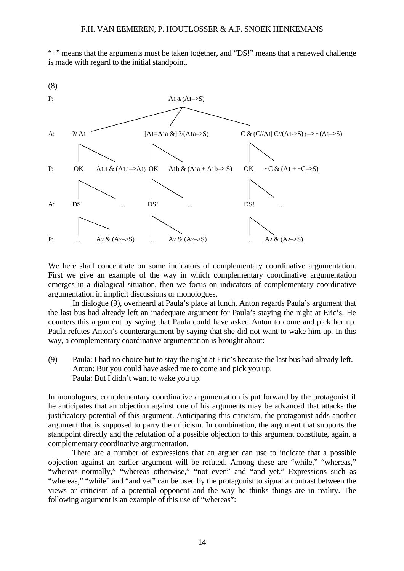"+" means that the arguments must be taken together, and "DS!" means that a renewed challenge is made with regard to the initial standpoint.



We here shall concentrate on some indicators of complementary coordinative argumentation. First we give an example of the way in which complementary coordinative argumentation emerges in a dialogical situation, then we focus on indicators of complementary coordinative argumentation in implicit discussions or monologues.

In dialogue (9), overheard at Paula's place at lunch, Anton regards Paula's argument that the last bus had already left an inadequate argument for Paula's staying the night at Eric's. He counters this argument by saying that Paula could have asked Anton to come and pick her up. Paula refutes Anton's counterargument by saying that she did not want to wake him up. In this way, a complementary coordinative argumentation is brought about:

(9) Paula: I had no choice but to stay the night at Eric's because the last bus had already left. Anton: But you could have asked me to come and pick you up. Paula: But I didn't want to wake you up.

In monologues, complementary coordinative argumentation is put forward by the protagonist if he anticipates that an objection against one of his arguments may be advanced that attacks the justificatory potential of this argument. Anticipating this criticism, the protagonist adds another argument that is supposed to parry the criticism. In combination, the argument that supports the standpoint directly and the refutation of a possible objection to this argument constitute, again, a complementary coordinative argumentation.

 There are a number of expressions that an arguer can use to indicate that a possible objection against an earlier argument will be refuted. Among these are "while," "whereas," "whereas normally," "whereas otherwise," "not even" and "and yet." Expressions such as "whereas," "while" and "and yet" can be used by the protagonist to signal a contrast between the views or criticism of a potential opponent and the way he thinks things are in reality. The following argument is an example of this use of "whereas":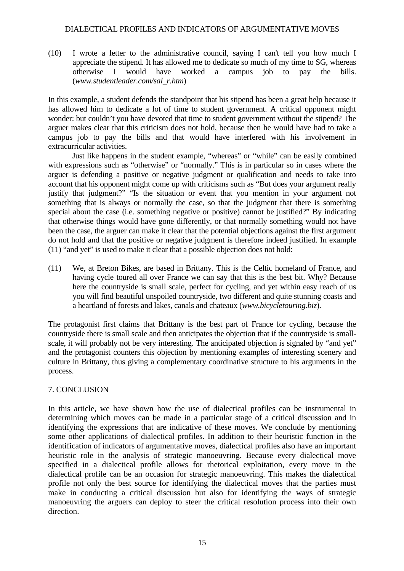(10) I wrote a letter to the administrative council, saying I can't tell you how much I appreciate the stipend. It has allowed me to dedicate so much of my time to SG, whereas otherwise I would have worked a campus job to pay the bills. (*www.studentleader.com/sal\_r.htm*)

In this example, a student defends the standpoint that his stipend has been a great help because it has allowed him to dedicate a lot of time to student government. A critical opponent might wonder: but couldn't you have devoted that time to student government without the stipend? The arguer makes clear that this criticism does not hold, because then he would have had to take a campus job to pay the bills and that would have interfered with his involvement in extracurricular activities.

 Just like happens in the student example, "whereas" or "while" can be easily combined with expressions such as "otherwise" or "normally." This is in particular so in cases where the arguer is defending a positive or negative judgment or qualification and needs to take into account that his opponent might come up with criticisms such as "But does your argument really justify that judgment?" "Is the situation or event that you mention in your argument not something that is always or normally the case, so that the judgment that there is something special about the case (i.e. something negative or positive) cannot be justified?" By indicating that otherwise things would have gone differently, or that normally something would not have been the case, the arguer can make it clear that the potential objections against the first argument do not hold and that the positive or negative judgment is therefore indeed justified. In example (11) "and yet" is used to make it clear that a possible objection does not hold:

(11) We, at Breton Bikes, are based in Brittany. This is the Celtic homeland of France, and having cycle toured all over France we can say that this is the best bit. Why? Because here the countryside is small scale, perfect for cycling, and yet within easy reach of us you will find beautiful unspoiled countryside, two different and quite stunning coasts and a heartland of forests and lakes, canals and chateaux (*www.bicycletouring.biz*).

The protagonist first claims that Brittany is the best part of France for cycling, because the countryside there is small scale and then anticipates the objection that if the countryside is smallscale, it will probably not be very interesting. The anticipated objection is signaled by "and yet" and the protagonist counters this objection by mentioning examples of interesting scenery and culture in Brittany, thus giving a complementary coordinative structure to his arguments in the process.

## 7. CONCLUSION

In this article, we have shown how the use of dialectical profiles can be instrumental in determining which moves can be made in a particular stage of a critical discussion and in identifying the expressions that are indicative of these moves. We conclude by mentioning some other applications of dialectical profiles. In addition to their heuristic function in the identification of indicators of argumentative moves, dialectical profiles also have an important heuristic role in the analysis of strategic manoeuvring. Because every dialectical move specified in a dialectical profile allows for rhetorical exploitation, every move in the dialectical profile can be an occasion for strategic manoeuvring. This makes the dialectical profile not only the best source for identifying the dialectical moves that the parties must make in conducting a critical discussion but also for identifying the ways of strategic manoeuvring the arguers can deploy to steer the critical resolution process into their own direction.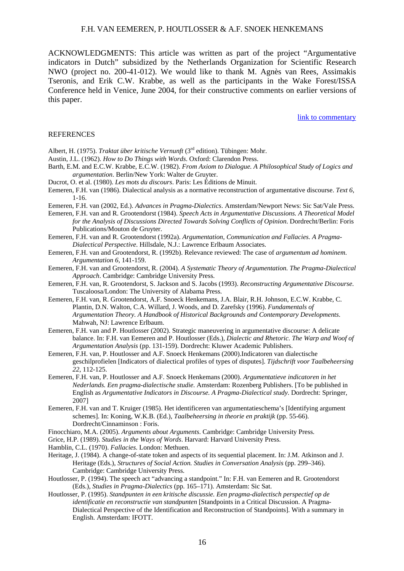ACKNOWLEDGMENTS: This article was written as part of the project "Argumentative indicators in Dutch" subsidized by the Netherlands Organization for Scientific Research NWO (project no. 200-41-012). We would like to thank M. Agnès van Rees, Assimakis Tseronis, and Erik C.W. Krabbe, as well as the participants in the Wake Forest/ISSA Conference held in Venice, June 2004, for their constructive comments on earlier versions of this paper.

link to commentary

#### REFERENCES

- Albert, H. (1975). *Traktat über kritische Vernunft* (3rd edition). Tübingen: Mohr.
- Austin, J.L. (1962). *How to Do Things with Words*. Oxford: Clarendon Press.
- Barth, E.M. and E.C.W. Krabbe, E.C.W. (1982). *From Axiom to Dialogue. A Philosophical Study of Logics and argumentation*. Berlin/New York: Walter de Gruyter.
- Ducrot, O. et al. (1980). *Les mots du discours*. Paris: Les Éditions de Minuit.
- Eemeren, F.H. van (1986). Dialectical analysis as a normative reconstruction of argumentative discourse. *Text 6*, 1-16.
- Eemeren, F.H. van (2002, Ed.). *Advances in Pragma-Dialectics*. Amsterdam/Newport News: Sic Sat/Vale Press.
- Eemeren, F.H. van and R. Grootendorst (1984). *Speech Acts in Argumentative Discussions. A Theoretical Model for the Analysis of Discussions Directed Towards Solving Conflicts of Opinion*. Dordrecht/Berlin: Foris Publications/Mouton de Gruyter.
- Eemeren, F.H. van and R. Grootendorst (1992a). *Argumentation, Communication and Fallacies. A Pragma-Dialectical Perspective*. Hillsdale, N.J.: Lawrence Erlbaum Associates.
- Eemeren, F.H. van and Grootendorst, R. (1992b). Relevance reviewed: The case of *argumentum ad hominem*. *Argumentation 6*, 141-159.
- Eemeren, F.H. van and Grootendorst, R. (2004). *A Systematic Theory of Argumentation. The Pragma-Dialectical Approach*. Cambridge: Cambridge University Press.
- Eemeren, F.H. van, R. Grootendorst, S. Jackson and S. Jacobs (1993). *Reconstructing Argumentative Discourse*. Tuscaloosa/London: The University of Alabama Press.
- Eemeren, F.H. van, R. Grootendorst, A.F. Snoeck Henkemans, J.A. Blair, R.H. Johnson, E.C.W. Krabbe, C. Plantin, D.N. Walton, C.A. Willard, J. Woods, and D. Zarefsky (1996). *Fundamentals of Argumentation Theory. A Handbook of Historical Backgrounds and Contemporary Developments*. Mahwah, NJ: Lawrence Erlbaum.
- Eemeren, F.H. van and P. Houtlosser (2002). Strategic maneuvering in argumentative discourse: A delicate balance. In: F.H. van Eemeren and P. Houtlosser (Eds.), *Dialectic and Rhetoric. The Warp and Woof of Argumentation Analysis* (pp. 131-159). Dordrecht: Kluwer Academic Publishers.
- Eemeren, F.H. van, P. Houtlosser and A.F. Snoeck Henkemans (2000).Indicatoren van dialectische geschilprofielen [Indicators of dialectical profiles of types of disputes]. *Tijdschrift voor Taalbeheersing 22*, 112-125.
- Eemeren, F.H. van, P. Houtlosser and A.F. Snoeck Henkemans (2000). *Argumentatieve indicatoren in het Nederlands. Een pragma-dialectische studie*. Amsterdam: Rozenberg Publishers. [To be published in English as *Argumentative Indicators in Discourse. A Pragma-Dialectical study*. Dordrecht: Springer, 2007]
- Eemeren, F.H. van and T. Kruiger (1985). Het identificeren van argumentatieschema's [Identifying argument schemes]. In: Koning, W.K.B. (Ed.), *Taalbeheersing in theorie en praktijk* (pp. 55-66). Dordrecht/Cinnaminson : Foris.
- Finocchiaro, M.A. (2005). *Arguments about Arguments*. Cambridge: Cambridge University Press.
- Grice, H.P. (1989). *Studies in the Ways of Words*. Harvard: Harvard University Press.
- Hamblin, C.L. (1970). *Fallacies*. London: Methuen.
- Heritage, J. (1984). A change-of-state token and aspects of its sequential placement. In: J.M. Atkinson and J. Heritage (Eds.), *Structures of Social Action. Studies in Conversation Analysis* (pp. 299–346). Cambridge: Cambridge University Press.
- Houtlosser, P. (1994). The speech act "advancing a standpoint." In: F.H. van Eemeren and R. Grootendorst (Eds.), *Studies in Pragma-Dialectics* (pp. 165–171). Amsterdam: Sic Sat.
- Houtlosser, P. (1995). *Standpunten in een kritische discussie. Een pragma-dialectisch perspectief op de identificatie en reconstructie van standpunten* [Standpoints in a Critical Discussion. A Pragma-Dialectical Perspective of the Identification and Reconstruction of Standpoints]. With a summary in English. Amsterdam: IFOTT.